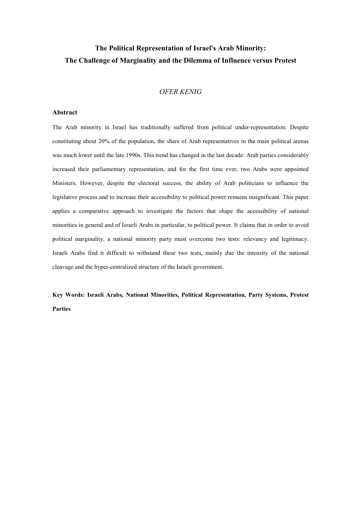# The Political Representation of Israel's Arab Minority: The Challenge of Marginality and the Dilemma of Influence versus Protest

# OFER KENIG

### Abstract

The Arab minority in Israel has traditionally suffered from political under-representation. Despite constituting about 20% of the population, the share of Arab representatives in the main political arenas was much lower until the late 1990s. This trend has changed in the last decade: Arab parties considerably increased their parliamentary representation, and for the first time ever, two Arabs were appointed Ministers. However, despite the electoral success, the ability of Arab politicians to influence the legislative process and to increase their accessibility to political power remains insignificant. This paper applies a comparative approach to investigate the factors that shape the accessibility of national minorities in general and of Israeli Arabs in particular, to political power. It claims that in order to avoid political marginality, a national minority party must overcome two tests: relevancy and legitimacy. Israeli Arabs find it difficult to withstand these two tests, mainly due the intensity of the national cleavage and the hyper-centralized structure of the Israeli government.

Key Words: Israeli Arabs, National Minorities, Political Representation, Party Systems, Protest Parties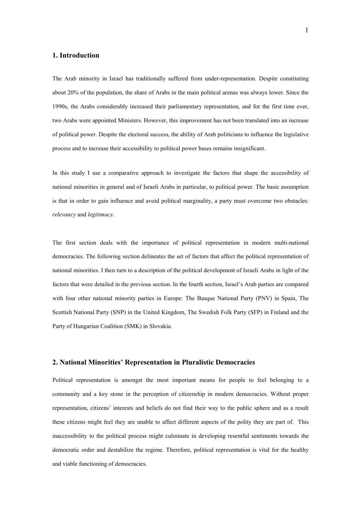# 1. Introduction

The Arab minority in Israel has traditionally suffered from under-representation. Despite constituting about 20% of the population, the share of Arabs in the main political arenas was always lower. Since the 1990s, the Arabs considerably increased their parliamentary representation, and for the first time ever, two Arabs were appointed Ministers. However, this improvement has not been translated into an increase of political power. Despite the electoral success, the ability of Arab politicians to influence the legislative process and to increase their accessibility to political power bases remains insignificant.

In this study I use a comparative approach to investigate the factors that shape the accessibility of national minorities in general and of Israeli Arabs in particular, to political power. The basic assumption is that in order to gain influence and avoid political marginality, a party must overcome two obstacles: relevancy and legitimacy.

The first section deals with the importance of political representation in modern multi-national democracies. The following section delineates the set of factors that affect the political representation of national minorities. I then turn to a description of the political development of Israeli Arabs in light of the factors that were detailed in the previous section. In the fourth section, Israel's Arab parties are compared with four other national minority parties in Europe: The Basque National Party (PNV) in Spain, The Scottish National Party (SNP) in the United Kingdom, The Swedish Folk Party (SFP) in Finland and the Party of Hungarian Coalition (SMK) in Slovakia.

# 2. National Minorities' Representation in Pluralistic Democracies

Political representation is amongst the most important means for people to feel belonging to a community and a key stone in the perception of citizenship in modern democracies. Without proper representation, citizens' interests and beliefs do not find their way to the public sphere and as a result these citizens might feel they are unable to affect different aspects of the polity they are part of. This inaccessibility to the political process might culminate in developing resentful sentiments towards the democratic order and destabilize the regime. Therefore, political representation is vital for the healthy and viable functioning of democracies.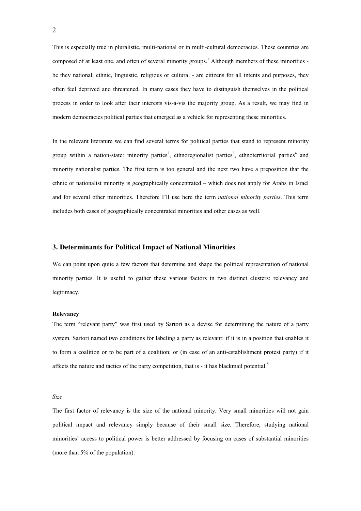This is especially true in pluralistic, multi-national or in multi-cultural democracies. These countries are composed of at least one, and often of several minority groups.<sup>1</sup> Although members of these minorities be they national, ethnic, linguistic, religious or cultural - are citizens for all intents and purposes, they often feel deprived and threatened. In many cases they have to distinguish themselves in the political process in order to look after their interests vis-à-vis the majority group. As a result, we may find in modern democracies political parties that emerged as a vehicle for representing these minorities.

In the relevant literature we can find several terms for political parties that stand to represent minority group within a nation-state: minority parties<sup>2</sup>, ethnoregionalist parties<sup>3</sup>, ethnoterritorial parties<sup>4</sup> and minority nationalist parties. The first term is too general and the next two have a preposition that the ethnic or nationalist minority is geographically concentrated – which does not apply for Arabs in Israel and for several other minorities. Therefore I'll use here the term national minority parties. This term includes both cases of geographically concentrated minorities and other cases as well.

### 3. Determinants for Political Impact of National Minorities

We can point upon quite a few factors that determine and shape the political representation of national minority parties. It is useful to gather these various factors in two distinct clusters: relevancy and legitimacy.

#### Relevancy

The term "relevant party" was first used by Sartori as a devise for determining the nature of a party system. Sartori named two conditions for labeling a party as relevant: if it is in a position that enables it to form a coalition or to be part of a coalition; or (in case of an anti-establishment protest party) if it affects the nature and tactics of the party competition, that is - it has blackmail potential.<sup>5</sup>

#### Size

The first factor of relevancy is the size of the national minority. Very small minorities will not gain political impact and relevancy simply because of their small size. Therefore, studying national minorities' access to political power is better addressed by focusing on cases of substantial minorities (more than 5% of the population).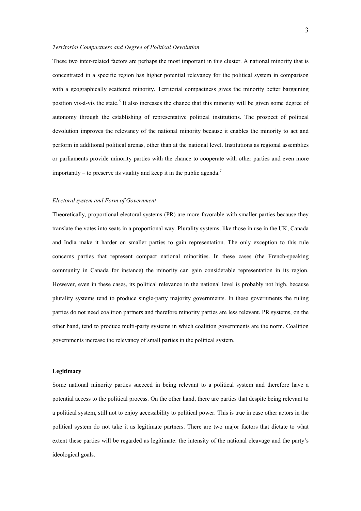#### Territorial Compactness and Degree of Political Devolution

These two inter-related factors are perhaps the most important in this cluster. A national minority that is concentrated in a specific region has higher potential relevancy for the political system in comparison with a geographically scattered minority. Territorial compactness gives the minority better bargaining position vis-à-vis the state.<sup>6</sup> It also increases the chance that this minority will be given some degree of autonomy through the establishing of representative political institutions. The prospect of political devolution improves the relevancy of the national minority because it enables the minority to act and perform in additional political arenas, other than at the national level. Institutions as regional assemblies or parliaments provide minority parties with the chance to cooperate with other parties and even more importantly – to preserve its vitality and keep it in the public agenda.<sup>7</sup>

#### Electoral system and Form of Government

Theoretically, proportional electoral systems (PR) are more favorable with smaller parties because they translate the votes into seats in a proportional way. Plurality systems, like those in use in the UK, Canada and India make it harder on smaller parties to gain representation. The only exception to this rule concerns parties that represent compact national minorities. In these cases (the French-speaking community in Canada for instance) the minority can gain considerable representation in its region. However, even in these cases, its political relevance in the national level is probably not high, because plurality systems tend to produce single-party majority governments. In these governments the ruling parties do not need coalition partners and therefore minority parties are less relevant. PR systems, on the other hand, tend to produce multi-party systems in which coalition governments are the norm. Coalition governments increase the relevancy of small parties in the political system.

#### Legitimacy

Some national minority parties succeed in being relevant to a political system and therefore have a potential access to the political process. On the other hand, there are parties that despite being relevant to a political system, still not to enjoy accessibility to political power. This is true in case other actors in the political system do not take it as legitimate partners. There are two major factors that dictate to what extent these parties will be regarded as legitimate: the intensity of the national cleavage and the party's ideological goals.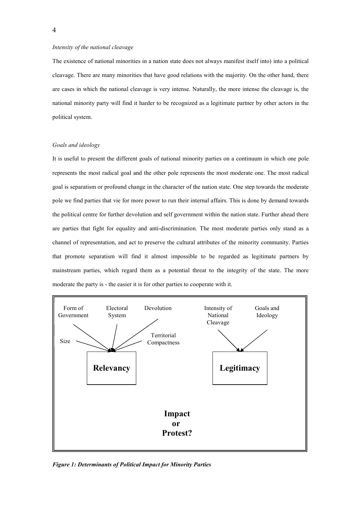#### Intensity of the national cleavage

The existence of national minorities in a nation state does not always manifest itself into) into a political cleavage. There are many minorities that have good relations with the majority. On the other hand, there are cases in which the national cleavage is very intense. Naturally, the more intense the cleavage is, the national minority party will find it harder to be recognized as a legitimate partner by other actors in the political system.

### Goals and ideology

It is useful to present the different goals of national minority parties on a continuum in which one pole represents the most radical goal and the other pole represents the most moderate one. The most radical goal is separatism or profound change in the character of the nation state. One step towards the moderate pole we find parties that vie for more power to run their internal affairs. This is done by demand towards the political centre for further devolution and self government within the nation state. Further ahead there are parties that fight for equality and anti-discrimination. The most moderate parties only stand as a channel of representation, and act to preserve the cultural attributes of the minority community. Parties that promote separatism will find it almost impossible to be regarded as legitimate partners by mainstream parties, which regard them as a potential threat to the integrity of the state. The more moderate the party is - the easier it is for other parties to cooperate with it.



Figure 1: Determinants of Political Impact for Minority Parties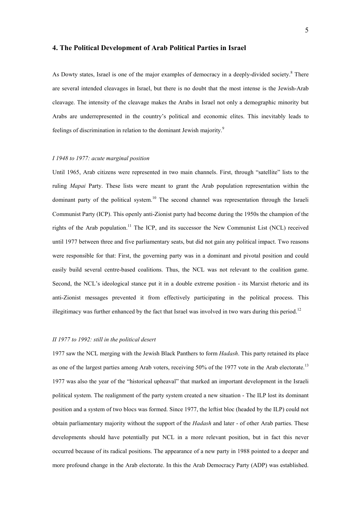### 4. The Political Development of Arab Political Parties in Israel

As Dowty states, Israel is one of the major examples of democracy in a deeply-divided society.<sup>8</sup> There are several intended cleavages in Israel, but there is no doubt that the most intense is the Jewish-Arab cleavage. The intensity of the cleavage makes the Arabs in Israel not only a demographic minority but Arabs are underrepresented in the country's political and economic elites. This inevitably leads to feelings of discrimination in relation to the dominant Jewish majority.<sup>9</sup>

### I 1948 to 1977: acute marginal position

Until 1965, Arab citizens were represented in two main channels. First, through "satellite" lists to the ruling *Mapai* Party. These lists were meant to grant the Arab population representation within the dominant party of the political system.<sup>10</sup> The second channel was representation through the Israeli Communist Party (ICP). This openly anti-Zionist party had become during the 1950s the champion of the rights of the Arab population.<sup>11</sup> The ICP, and its successor the New Communist List (NCL) received until 1977 between three and five parliamentary seats, but did not gain any political impact. Two reasons were responsible for that: First, the governing party was in a dominant and pivotal position and could easily build several centre-based coalitions. Thus, the NCL was not relevant to the coalition game. Second, the NCL's ideological stance put it in a double extreme position - its Marxist rhetoric and its anti-Zionist messages prevented it from effectively participating in the political process. This illegitimacy was further enhanced by the fact that Israel was involved in two wars during this period.<sup>12</sup>

# II 1977 to 1992: still in the political desert

1977 saw the NCL merging with the Jewish Black Panthers to form *Hadash*. This party retained its place as one of the largest parties among Arab voters, receiving 50% of the 1977 vote in the Arab electorate.<sup>13</sup> 1977 was also the year of the "historical upheaval" that marked an important development in the Israeli political system. The realignment of the party system created a new situation - The ILP lost its dominant position and a system of two blocs was formed. Since 1977, the leftist bloc (headed by the ILP) could not obtain parliamentary majority without the support of the *Hadash* and later - of other Arab parties. These developments should have potentially put NCL in a more relevant position, but in fact this never occurred because of its radical positions. The appearance of a new party in 1988 pointed to a deeper and more profound change in the Arab electorate. In this the Arab Democracy Party (ADP) was established.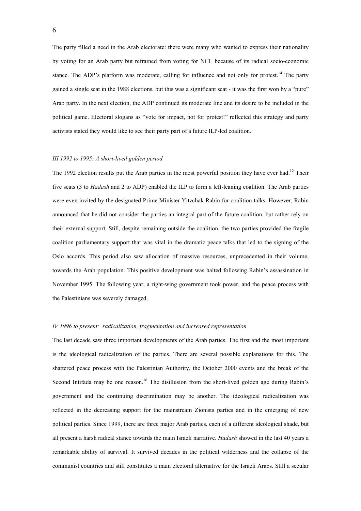The party filled a need in the Arab electorate: there were many who wanted to express their nationality by voting for an Arab party but refrained from voting for NCL because of its radical socio-economic stance. The ADP's platform was moderate, calling for influence and not only for protest.<sup>14</sup> The party gained a single seat in the 1988 elections, but this was a significant seat - it was the first won by a "pure" Arab party. In the next election, the ADP continued its moderate line and its desire to be included in the political game. Electoral slogans as "vote for impact, not for protest!" reflected this strategy and party activists stated they would like to see their party part of a future ILP-led coalition.

#### III 1992 to 1995: A short-lived golden period

The 1992 election results put the Arab parties in the most powerful position they have ever had.<sup>15</sup> Their five seats (3 to *Hadash* and 2 to ADP) enabled the ILP to form a left-leaning coalition. The Arab parties were even invited by the designated Prime Minister Yitzchak Rabin for coalition talks. However, Rabin announced that he did not consider the parties an integral part of the future coalition, but rather rely on their external support. Still, despite remaining outside the coalition, the two parties provided the fragile coalition parliamentary support that was vital in the dramatic peace talks that led to the signing of the Oslo accords. This period also saw allocation of massive resources, unprecedented in their volume, towards the Arab population. This positive development was halted following Rabin's assassination in November 1995. The following year, a right-wing government took power, and the peace process with the Palestinians was severely damaged.

#### IV 1996 to present: radicalization, fragmentation and increased representation

The last decade saw three important developments of the Arab parties. The first and the most important is the ideological radicalization of the parties. There are several possible explanations for this. The shattered peace process with the Palestinian Authority, the October 2000 events and the break of the Second Intifada may be one reason.<sup>16</sup> The disillusion from the short-lived golden age during Rabin's government and the continuing discrimination may be another. The ideological radicalization was reflected in the decreasing support for the mainstream Zionists parties and in the emerging of new political parties. Since 1999, there are three major Arab parties, each of a different ideological shade, but all present a harsh radical stance towards the main Israeli narrative. Hadash showed in the last 40 years a remarkable ability of survival. It survived decades in the political wilderness and the collapse of the communist countries and still constitutes a main electoral alternative for the Israeli Arabs. Still a secular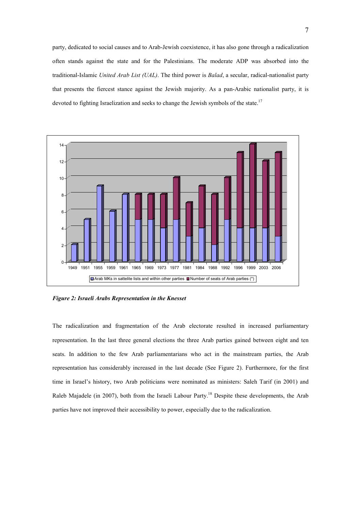party, dedicated to social causes and to Arab-Jewish coexistence, it has also gone through a radicalization often stands against the state and for the Palestinians. The moderate ADP was absorbed into the traditional-Islamic United Arab List (UAL). The third power is Balad, a secular, radical-nationalist party that presents the fiercest stance against the Jewish majority. As a pan-Arabic nationalist party, it is devoted to fighting Israelization and seeks to change the Jewish symbols of the state.<sup>17</sup>



Figure 2: Israeli Arabs Representation in the Knesset

The radicalization and fragmentation of the Arab electorate resulted in increased parliamentary representation. In the last three general elections the three Arab parties gained between eight and ten seats. In addition to the few Arab parliamentarians who act in the mainstream parties, the Arab representation has considerably increased in the last decade (See Figure 2). Furthermore, for the first time in Israel's history, two Arab politicians were nominated as ministers: Saleh Tarif (in 2001) and Raleb Majadele (in 2007), both from the Israeli Labour Party.<sup>18</sup> Despite these developments, the Arab parties have not improved their accessibility to power, especially due to the radicalization.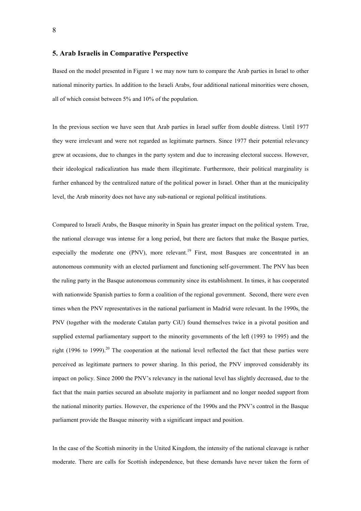# 5. Arab Israelis in Comparative Perspective

Based on the model presented in Figure 1 we may now turn to compare the Arab parties in Israel to other national minority parties. In addition to the Israeli Arabs, four additional national minorities were chosen, all of which consist between 5% and 10% of the population.

In the previous section we have seen that Arab parties in Israel suffer from double distress. Until 1977 they were irrelevant and were not regarded as legitimate partners. Since 1977 their potential relevancy grew at occasions, due to changes in the party system and due to increasing electoral success. However, their ideological radicalization has made them illegitimate. Furthermore, their political marginality is further enhanced by the centralized nature of the political power in Israel. Other than at the municipality level, the Arab minority does not have any sub-national or regional political institutions.

Compared to Israeli Arabs, the Basque minority in Spain has greater impact on the political system. True, the national cleavage was intense for a long period, but there are factors that make the Basque parties, especially the moderate one (PNV), more relevant.<sup>19</sup> First, most Basques are concentrated in an autonomous community with an elected parliament and functioning self-government. The PNV has been the ruling party in the Basque autonomous community since its establishment. In times, it has cooperated with nationwide Spanish parties to form a coalition of the regional government. Second, there were even times when the PNV representatives in the national parliament in Madrid were relevant. In the 1990s, the PNV (together with the moderate Catalan party CiU) found themselves twice in a pivotal position and supplied external parliamentary support to the minority governments of the left (1993 to 1995) and the right (1996 to 1999).<sup>20</sup> The cooperation at the national level reflected the fact that these parties were perceived as legitimate partners to power sharing. In this period, the PNV improved considerably its impact on policy. Since 2000 the PNV's relevancy in the national level has slightly decreased, due to the fact that the main parties secured an absolute majority in parliament and no longer needed support from the national minority parties. However, the experience of the 1990s and the PNV's control in the Basque parliament provide the Basque minority with a significant impact and position.

In the case of the Scottish minority in the United Kingdom, the intensity of the national cleavage is rather moderate. There are calls for Scottish independence, but these demands have never taken the form of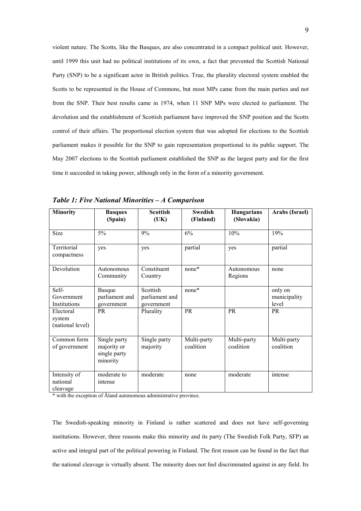violent nature. The Scotts, like the Basques, are also concentrated in a compact political unit. However, until 1999 this unit had no political institutions of its own, a fact that prevented the Scottish National Party (SNP) to be a significant actor in British politics. True, the plurality electoral system enabled the Scotts to be represented in the House of Commons, but most MPs came from the main parties and not from the SNP. Their best results came in 1974, when 11 SNP MPs were elected to parliament. The devolution and the establishment of Scottish parliament have improved the SNP position and the Scotts control of their affairs. The proportional election system that was adopted for elections to the Scottish parliament makes it possible for the SNP to gain representation proportional to its public support. The May 2007 elections to the Scottish parliament established the SNP as the largest party and for the first time it succeeded in taking power, although only in the form of a minority government.

| <b>Minority</b>                         | <b>Basques</b><br>(Spain)                               | <b>Scottish</b><br>(UK)                  | <b>Swedish</b><br>(Finland) | <b>Hungarians</b><br>(Slovakia) | Arabs (Israel)                   |
|-----------------------------------------|---------------------------------------------------------|------------------------------------------|-----------------------------|---------------------------------|----------------------------------|
|                                         |                                                         |                                          |                             |                                 |                                  |
| Size                                    | 5%                                                      | 9%                                       | 6%                          | 10%                             | 19%                              |
| Territorial<br>compactness              | yes                                                     | yes                                      | partial                     | yes                             | partial                          |
| Devolution                              | Autonomous<br>Community                                 | Constituent<br>Country                   | none*                       | Autonomous<br>Regions           | none                             |
| Self-<br>Government<br>Institutions     | <b>Basque</b><br>parliament and<br>government           | Scottish<br>parliament and<br>government | none*                       |                                 | only on<br>municipality<br>level |
| Electoral<br>system<br>(national level) | <b>PR</b>                                               | Plurality                                | <b>PR</b>                   | <b>PR</b>                       | <b>PR</b>                        |
| Common form<br>of government            | Single party<br>majority or<br>single party<br>minority | Single party<br>majority                 | Multi-party<br>coalition    | Multi-party<br>coalition        | Multi-party<br>coalition         |
| Intensity of<br>national<br>cleavage    | moderate to<br>intense                                  | moderate                                 | none                        | moderate                        | intense                          |

Table 1: Five National Minorities – A Comparison

\* with the exception of Åland autonomous administrative province.

The Swedish-speaking minority in Finland is rather scattered and does not have self-governing institutions. However, three reasons make this minority and its party (The Swedish Folk Party, SFP) an active and integral part of the political powering in Finland. The first reason can be found in the fact that the national cleavage is virtually absent. The minority does not feel discriminated against in any field. Its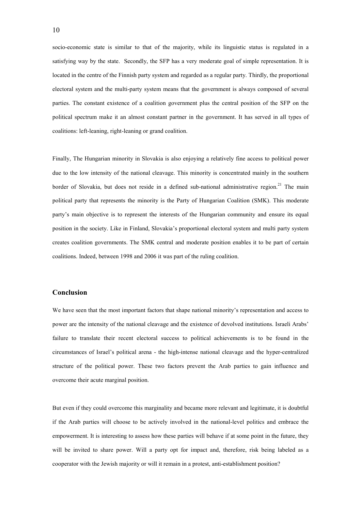socio-economic state is similar to that of the majority, while its linguistic status is regulated in a satisfying way by the state. Secondly, the SFP has a very moderate goal of simple representation. It is located in the centre of the Finnish party system and regarded as a regular party. Thirdly, the proportional electoral system and the multi-party system means that the government is always composed of several parties. The constant existence of a coalition government plus the central position of the SFP on the political spectrum make it an almost constant partner in the government. It has served in all types of coalitions: left-leaning, right-leaning or grand coalition.

Finally, The Hungarian minority in Slovakia is also enjoying a relatively fine access to political power due to the low intensity of the national cleavage. This minority is concentrated mainly in the southern border of Slovakia, but does not reside in a defined sub-national administrative region.<sup>21</sup> The main political party that represents the minority is the Party of Hungarian Coalition (SMK). This moderate party's main objective is to represent the interests of the Hungarian community and ensure its equal position in the society. Like in Finland, Slovakia's proportional electoral system and multi party system creates coalition governments. The SMK central and moderate position enables it to be part of certain coalitions. Indeed, between 1998 and 2006 it was part of the ruling coalition.

# Conclusion

We have seen that the most important factors that shape national minority's representation and access to power are the intensity of the national cleavage and the existence of devolved institutions. Israeli Arabs' failure to translate their recent electoral success to political achievements is to be found in the circumstances of Israel's political arena - the high-intense national cleavage and the hyper-centralized structure of the political power. These two factors prevent the Arab parties to gain influence and overcome their acute marginal position.

But even if they could overcome this marginality and became more relevant and legitimate, it is doubtful if the Arab parties will choose to be actively involved in the national-level politics and embrace the empowerment. It is interesting to assess how these parties will behave if at some point in the future, they will be invited to share power. Will a party opt for impact and, therefore, risk being labeled as a cooperator with the Jewish majority or will it remain in a protest, anti-establishment position?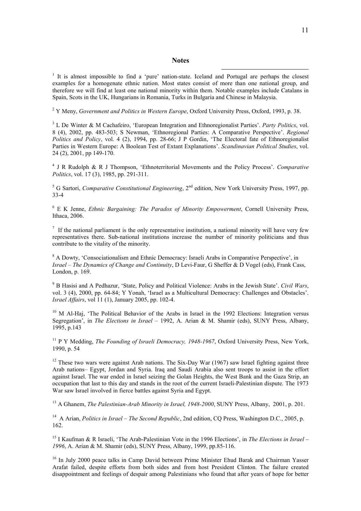### **Notes**

 $\overline{a}$ 

<sup>1</sup> It is almost impossible to find a 'pure' nation-state. Iceland and Portugal are perhaps the closest examples for a homogenate ethnic nation. Most states consist of more than one national group, and therefore we will find at least one national minority within them. Notable examples include Catalans in Spain, Scots in the UK, Hungarians in Romania, Turks in Bulgaria and Chinese in Malaysia.

<sup>2</sup> Y Meny, *Government and Politics in Western Europe*, Oxford University Press, Oxford, 1993, p. 38.

 $3$  L De Winter & M Cachafeiro, 'European Integration and Ethnoregionalist Parties'. Party Politics, vol. 8 (4), 2002, pp. 483-503; S Newman, 'Ethnoregional Parties: A Comparative Perspective'. Regional Politics and Policy, vol. 4 (2), 1994, pp. 28-66; J P Gordin, 'The Electoral fate of Ethnoregionalist Parties in Western Europe: A Boolean Test of Extant Explanations'. Scandinavian Political Studies, vol. 24 (2), 2001, pp 149-170.

<sup>4</sup> J R Rudolph & R J Thompson, 'Ethnoterritorial Movements and the Policy Process'. Comparative Politics, vol. 17 (3), 1985, pp. 291-311.

<sup>5</sup> G Sartori, *Comparative Constitutional Engineering*,  $2<sup>nd</sup>$  edition, New York University Press, 1997, pp. 33-4

 $6$  E K Jenne, *Ethnic Bargaining: The Paradox of Minority Empowerment*, Cornell University Press, Ithaca, 2006.

 $\frac{7}{1}$  If the national parliament is the only representative institution, a national minority will have very few representatives there. Sub-national institutions increase the number of minority politicians and thus contribute to the vitality of the minority.

<sup>8</sup> A Dowty, 'Consociationalism and Ethnic Democracy: Israeli Arabs in Comparative Perspective', in Israel – The Dynamics of Change and Continuity, D Levi-Faur, G Sheffer & D Vogel (eds), Frank Cass, London, p. 169.

<sup>9</sup> B Hasisi and A Pedhazur, 'State, Policy and Political Violence: Arabs in the Jewish State'. Civil Wars, vol. 3 (4), 2000, pp. 64-84; Y Yonah, 'Israel as a Multicultural Democracy: Challenges and Obstacles'. Israel Affairs, vol 11 (1), January 2005, pp. 102-4.

<sup>10</sup> M Al-Haj, 'The Political Behavior of the Arabs in Israel in the 1992 Elections: Integration versus Segregation', in The Elections in Israel – 1992, A. Arian & M. Shamir (eds), SUNY Press, Albany, 1995, p.143

 $11$  P Y Medding, The Founding of Israeli Democracy, 1948-1967, Oxford University Press, New York, 1990, p. 54

 $12$  These two wars were against Arab nations. The Six-Day War (1967) saw Israel fighting against three Arab nations– Egypt, Jordan and Syria. Iraq and Saudi Arabia also sent troops to assist in the effort against Israel. The war ended in Israel seizing the Golan Heights, the West Bank and the Gaza Strip, an occupation that last to this day and stands in the root of the current Israeli-Palestinian dispute. The 1973 War saw Israel involved in fierce battles against Syria and Egypt.

<sup>13</sup> A Ghanem, *The Palestinian-Arab Minority in Israel, 1948-2000*, SUNY Press, Albany, 2001, p. 201.

<sup>14</sup> A Arian, *Politics in Israel – The Second Republic*, 2nd edition, CO Press, Washington D.C., 2005, p. 162.

<sup>15</sup> I Kaufman & R Israeli, 'The Arab-Palestinian Vote in the 1996 Elections', in The Elections in Israel – 1996, A. Arian & M. Shamir (eds), SUNY Press, Albany, 1999, pp.85-116.

<sup>16</sup> In July 2000 peace talks in Camp David between Prime Minister Ehud Barak and Chairman Yasser Arafat failed, despite efforts from both sides and from host President Clinton. The failure created disappointment and feelings of despair among Palestinians who found that after years of hope for better